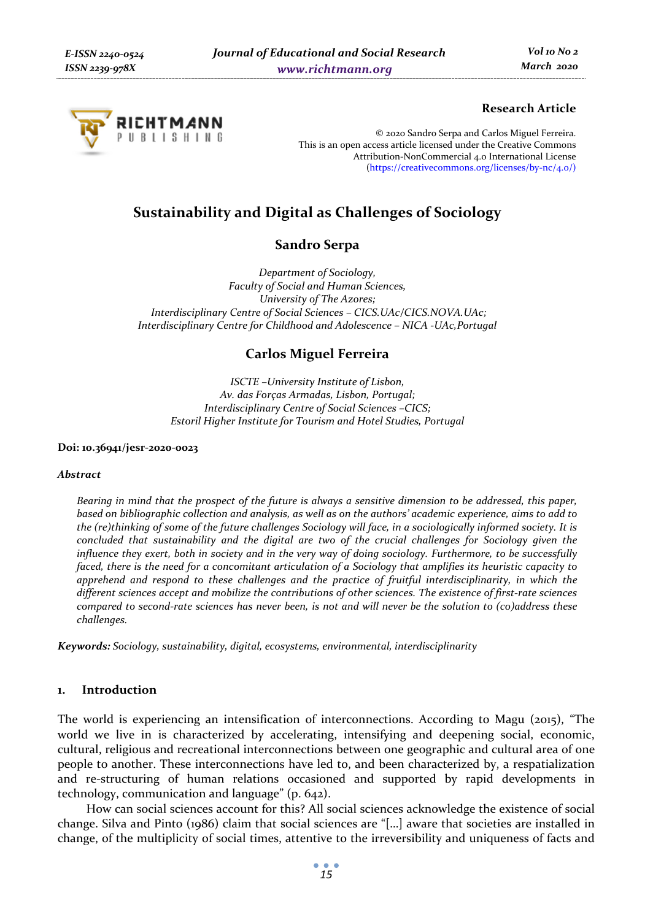

## **Research Article**

© 2020 Sandro Serpa and Carlos Miguel Ferreira. This is an open access article licensed under the Creative Commons Attribution-NonCommercial 4.0 International License (https://creativecommons.org/licenses/by-nc/4.0/)

# **Sustainability and Digital as Challenges of Sociology**

## **Sandro Serpa**

*Department of Sociology, Faculty of Social and Human Sciences, University of The Azores; Interdisciplinary Centre of Social Sciences – CICS.UAc/CICS.NOVA.UAc; Interdisciplinary Centre for Childhood and Adolescence – NICA -UAc,Portugal* 

## **Carlos Miguel Ferreira**

*ISCTE –University Institute of Lisbon, Av. das Forças Armadas, Lisbon, Portugal; Interdisciplinary Centre of Social Sciences –CICS; Estoril Higher Institute for Tourism and Hotel Studies, Portugal* 

**Doi: 10.36941/jesr-2020-0023** 

#### *Abstract*

*Bearing in mind that the prospect of the future is always a sensitive dimension to be addressed, this paper, based on bibliographic collection and analysis, as well as on the authors' academic experience, aims to add to the (re)thinking of some of the future challenges Sociology will face, in a sociologically informed society. It is concluded that sustainability and the digital are two of the crucial challenges for Sociology given the influence they exert, both in society and in the very way of doing sociology. Furthermore, to be successfully faced, there is the need for a concomitant articulation of a Sociology that amplifies its heuristic capacity to apprehend and respond to these challenges and the practice of fruitful interdisciplinarity, in which the different sciences accept and mobilize the contributions of other sciences. The existence of first-rate sciences compared to second-rate sciences has never been, is not and will never be the solution to (co)address these challenges.* 

*Keywords: Sociology, sustainability, digital, ecosystems, environmental, interdisciplinarity* 

### **1. Introduction**

The world is experiencing an intensification of interconnections. According to Magu (2015), "The world we live in is characterized by accelerating, intensifying and deepening social, economic, cultural, religious and recreational interconnections between one geographic and cultural area of one people to another. These interconnections have led to, and been characterized by, a respatialization and re-structuring of human relations occasioned and supported by rapid developments in technology, communication and language" (p. 642).

How can social sciences account for this? All social sciences acknowledge the existence of social change. Silva and Pinto (1986) claim that social sciences are "[…] aware that societies are installed in change, of the multiplicity of social times, attentive to the irreversibility and uniqueness of facts and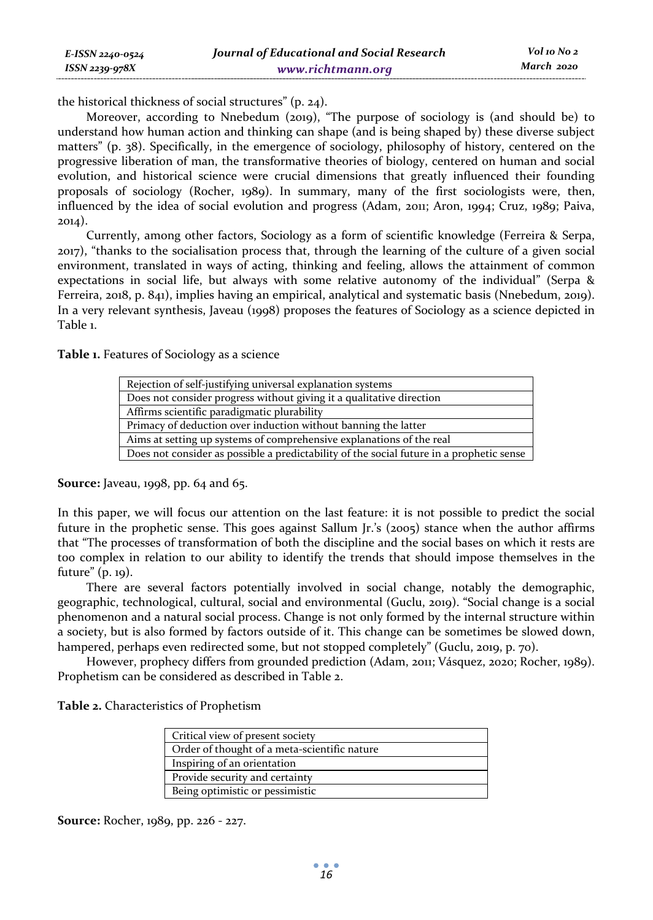the historical thickness of social structures" (p. 24).

Moreover, according to Nnebedum (2019), "The purpose of sociology is (and should be) to understand how human action and thinking can shape (and is being shaped by) these diverse subject matters" (p. 38). Specifically, in the emergence of sociology, philosophy of history, centered on the progressive liberation of man, the transformative theories of biology, centered on human and social evolution, and historical science were crucial dimensions that greatly influenced their founding proposals of sociology (Rocher, 1989). In summary, many of the first sociologists were, then, influenced by the idea of social evolution and progress (Adam, 2011; Aron, 1994; Cruz, 1989; Paiva, 2014).

Currently, among other factors, Sociology as a form of scientific knowledge (Ferreira & Serpa, 2017), "thanks to the socialisation process that, through the learning of the culture of a given social environment, translated in ways of acting, thinking and feeling, allows the attainment of common expectations in social life, but always with some relative autonomy of the individual" (Serpa & Ferreira, 2018, p. 841), implies having an empirical, analytical and systematic basis (Nnebedum, 2019). In a very relevant synthesis, Javeau (1998) proposes the features of Sociology as a science depicted in Table 1.

**Table 1.** Features of Sociology as a science

| Rejection of self-justifying universal explanation systems                               |  |  |
|------------------------------------------------------------------------------------------|--|--|
| Does not consider progress without giving it a qualitative direction                     |  |  |
| Affirms scientific paradigmatic plurability                                              |  |  |
| Primacy of deduction over induction without banning the latter                           |  |  |
| Aims at setting up systems of comprehensive explanations of the real                     |  |  |
| Does not consider as possible a predictability of the social future in a prophetic sense |  |  |

**Source:** Javeau, 1998, pp. 64 and 65.

In this paper, we will focus our attention on the last feature: it is not possible to predict the social future in the prophetic sense. This goes against Sallum Jr.'s (2005) stance when the author affirms that "The processes of transformation of both the discipline and the social bases on which it rests are too complex in relation to our ability to identify the trends that should impose themselves in the future" (p. 19).

There are several factors potentially involved in social change, notably the demographic, geographic, technological, cultural, social and environmental (Guclu, 2019). "Social change is a social phenomenon and a natural social process. Change is not only formed by the internal structure within a society, but is also formed by factors outside of it. This change can be sometimes be slowed down, hampered, perhaps even redirected some, but not stopped completely" (Guclu, 2019, p. 70).

However, prophecy differs from grounded prediction (Adam, 2011; Vásquez, 2020; Rocher, 1989). Prophetism can be considered as described in Table 2.

**Table 2.** Characteristics of Prophetism

| Critical view of present society             |  |  |
|----------------------------------------------|--|--|
| Order of thought of a meta-scientific nature |  |  |
| Inspiring of an orientation                  |  |  |
| Provide security and certainty               |  |  |
| Being optimistic or pessimistic              |  |  |

**Source:** Rocher, 1989, pp. 226 - 227.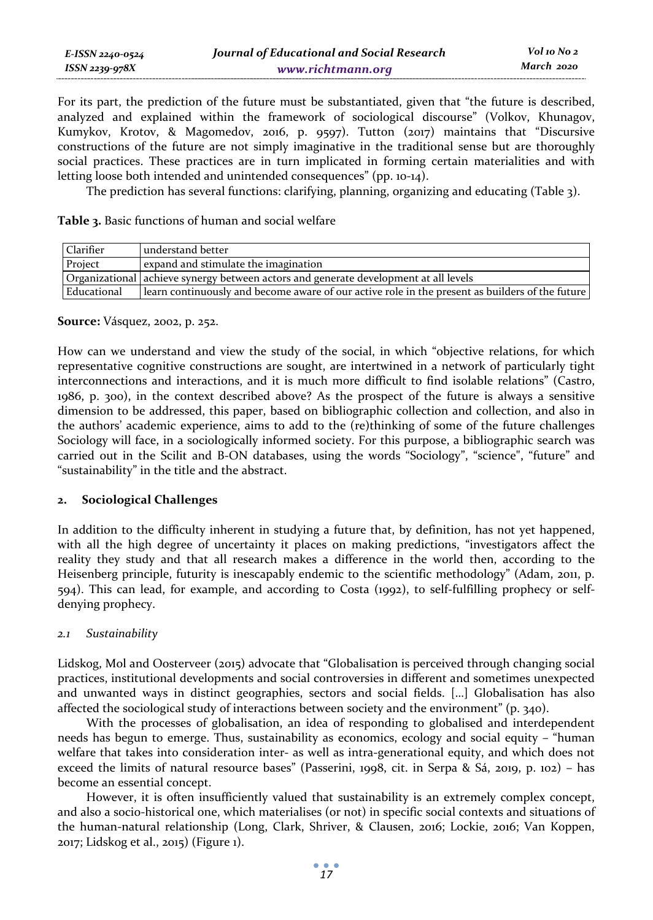For its part, the prediction of the future must be substantiated, given that "the future is described, analyzed and explained within the framework of sociological discourse" (Volkov, Khunagov, Kumykov, Krotov, & Magomedov, 2016, p. 9597). Tutton (2017) maintains that "Discursive constructions of the future are not simply imaginative in the traditional sense but are thoroughly social practices. These practices are in turn implicated in forming certain materialities and with letting loose both intended and unintended consequences" (pp. 10-14).

The prediction has several functions: clarifying, planning, organizing and educating (Table 3).

**Table 3.** Basic functions of human and social welfare

| Clarifier   | understand better                                                                               |  |
|-------------|-------------------------------------------------------------------------------------------------|--|
| Project     | expand and stimulate the imagination                                                            |  |
|             | Organizational achieve synergy between actors and generate development at all levels            |  |
| Educational | learn continuously and become aware of our active role in the present as builders of the future |  |

#### **Source:** Vásquez, 2002, p. 252.

How can we understand and view the study of the social, in which "objective relations, for which representative cognitive constructions are sought, are intertwined in a network of particularly tight interconnections and interactions, and it is much more difficult to find isolable relations" (Castro, 1986, p. 300), in the context described above? As the prospect of the future is always a sensitive dimension to be addressed, this paper, based on bibliographic collection and collection, and also in the authors' academic experience, aims to add to the (re)thinking of some of the future challenges Sociology will face, in a sociologically informed society. For this purpose, a bibliographic search was carried out in the Scilit and B-ON databases, using the words "Sociology", "science", "future" and "sustainability" in the title and the abstract.

### **2. Sociological Challenges**

In addition to the difficulty inherent in studying a future that, by definition, has not yet happened, with all the high degree of uncertainty it places on making predictions, "investigators affect the reality they study and that all research makes a difference in the world then, according to the Heisenberg principle, futurity is inescapably endemic to the scientific methodology" (Adam, 2011, p. 594). This can lead, for example, and according to Costa (1992), to self-fulfilling prophecy or selfdenying prophecy.

### *2.1 Sustainability*

Lidskog, Mol and Oosterveer (2015) advocate that "Globalisation is perceived through changing social practices, institutional developments and social controversies in different and sometimes unexpected and unwanted ways in distinct geographies, sectors and social fields. […] Globalisation has also affected the sociological study of interactions between society and the environment" (p. 340).

With the processes of globalisation, an idea of responding to globalised and interdependent needs has begun to emerge. Thus, sustainability as economics, ecology and social equity – "human welfare that takes into consideration inter- as well as intra-generational equity, and which does not exceed the limits of natural resource bases" (Passerini, 1998, cit. in Serpa & Sá, 2019, p. 102) – has become an essential concept.

However, it is often insufficiently valued that sustainability is an extremely complex concept, and also a socio-historical one, which materialises (or not) in specific social contexts and situations of the human-natural relationship (Long, Clark, Shriver, & Clausen, 2016; Lockie, 2016; Van Koppen, 2017; Lidskog et al., 2015) (Figure 1).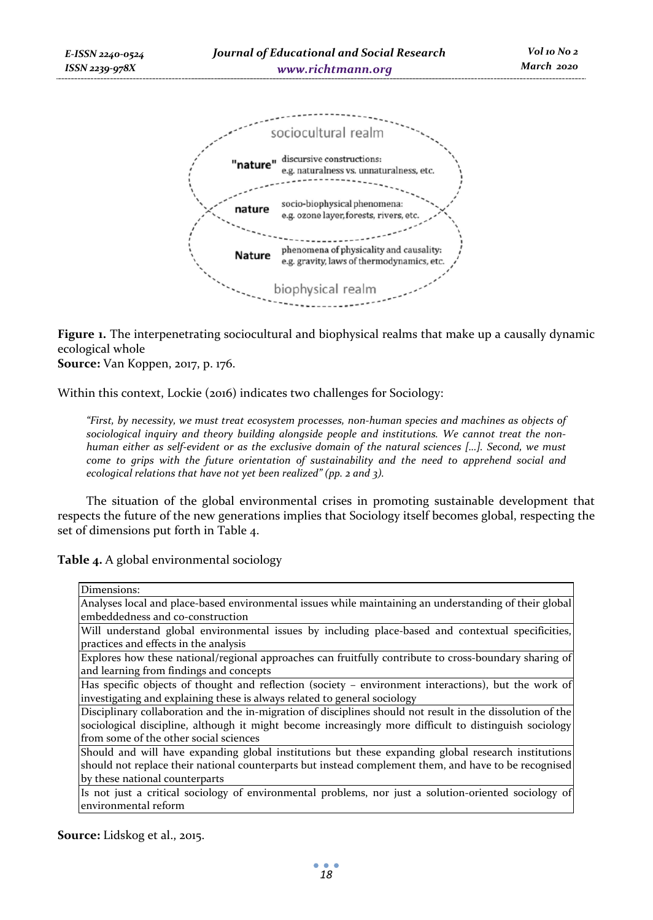

**Figure 1.** The interpenetrating sociocultural and biophysical realms that make up a causally dynamic ecological whole

**Source:** Van Koppen, 2017, p. 176.

Within this context, Lockie (2016) indicates two challenges for Sociology:

*"First, by necessity, we must treat ecosystem processes, non-human species and machines as objects of sociological inquiry and theory building alongside people and institutions. We cannot treat the nonhuman either as self-evident or as the exclusive domain of the natural sciences […]. Second, we must come to grips with the future orientation of sustainability and the need to apprehend social and ecological relations that have not yet been realized" (pp. 2 and 3).* 

The situation of the global environmental crises in promoting sustainable development that respects the future of the new generations implies that Sociology itself becomes global, respecting the set of dimensions put forth in Table 4.

**Table 4.** A global environmental sociology

| Dimensions:                                                                                                |  |  |
|------------------------------------------------------------------------------------------------------------|--|--|
| Analyses local and place-based environmental issues while maintaining an understanding of their global     |  |  |
| lembeddedness and co-construction                                                                          |  |  |
| Will understand global environmental issues by including place-based and contextual specificities,         |  |  |
| practices and effects in the analysis                                                                      |  |  |
| Explores how these national/regional approaches can fruitfully contribute to cross-boundary sharing of     |  |  |
| and learning from findings and concepts                                                                    |  |  |
| Has specific objects of thought and reflection (society – environment interactions), but the work of       |  |  |
| investigating and explaining these is always related to general sociology                                  |  |  |
| Disciplinary collaboration and the in-migration of disciplines should not result in the dissolution of the |  |  |
| sociological discipline, although it might become increasingly more difficult to distinguish sociology     |  |  |
| from some of the other social sciences                                                                     |  |  |
| Should and will have expanding global institutions but these expanding global research institutions        |  |  |
| should not replace their national counterparts but instead complement them, and have to be recognised      |  |  |
| by these national counterparts                                                                             |  |  |
| Is not just a critical sociology of environmental problems, nor just a solution-oriented sociology of      |  |  |
| environmental reform                                                                                       |  |  |

**Source:** Lidskog et al., 2015.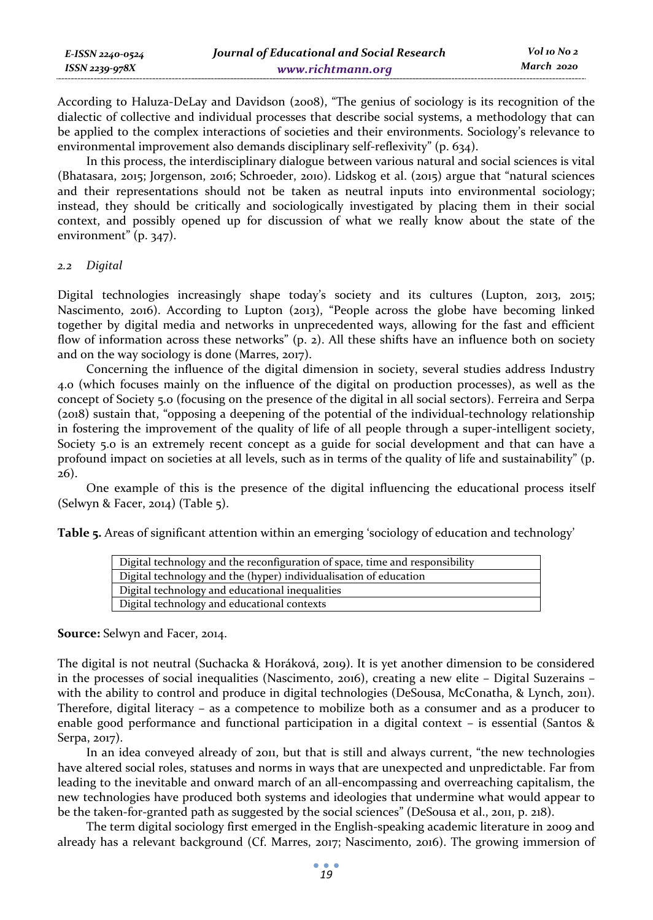| E-ISSN 2240-0524 | Journal of Educational and Social Research | Vol 10 No 2 |
|------------------|--------------------------------------------|-------------|
| ISSN 2239-978X   | www.richtmann.org                          | March 2020  |

According to Haluza-DeLay and Davidson (2008), "The genius of sociology is its recognition of the dialectic of collective and individual processes that describe social systems, a methodology that can be applied to the complex interactions of societies and their environments. Sociology's relevance to environmental improvement also demands disciplinary self-reflexivity" (p. 634).

In this process, the interdisciplinary dialogue between various natural and social sciences is vital (Bhatasara, 2015; Jorgenson, 2016; Schroeder, 2010). Lidskog et al. (2015) argue that "natural sciences and their representations should not be taken as neutral inputs into environmental sociology; instead, they should be critically and sociologically investigated by placing them in their social context, and possibly opened up for discussion of what we really know about the state of the environment" (p. 347).

#### *2.2 Digital*

Digital technologies increasingly shape today's society and its cultures (Lupton, 2013, 2015; Nascimento, 2016). According to Lupton (2013), "People across the globe have becoming linked together by digital media and networks in unprecedented ways, allowing for the fast and efficient flow of information across these networks" (p. 2). All these shifts have an influence both on society and on the way sociology is done (Marres, 2017).

Concerning the influence of the digital dimension in society, several studies address Industry 4.0 (which focuses mainly on the influence of the digital on production processes), as well as the concept of Society 5.0 (focusing on the presence of the digital in all social sectors). Ferreira and Serpa (2018) sustain that, "opposing a deepening of the potential of the individual-technology relationship in fostering the improvement of the quality of life of all people through a super-intelligent society, Society 5.0 is an extremely recent concept as a guide for social development and that can have a profound impact on societies at all levels, such as in terms of the quality of life and sustainability" (p. 26).

One example of this is the presence of the digital influencing the educational process itself (Selwyn & Facer, 2014) (Table 5).

**Table 5.** Areas of significant attention within an emerging 'sociology of education and technology'

| Digital technology and the reconfiguration of space, time and responsibility |  |  |
|------------------------------------------------------------------------------|--|--|
| Digital technology and the (hyper) individualisation of education            |  |  |
| Digital technology and educational inequalities                              |  |  |
| Digital technology and educational contexts                                  |  |  |

**Source:** Selwyn and Facer, 2014.

The digital is not neutral (Suchacka & Horáková, 2019). It is yet another dimension to be considered in the processes of social inequalities (Nascimento, 2016), creating a new elite – Digital Suzerains – with the ability to control and produce in digital technologies (DeSousa, McConatha, & Lynch, 2011). Therefore, digital literacy – as a competence to mobilize both as a consumer and as a producer to enable good performance and functional participation in a digital context – is essential (Santos & Serpa, 2017).

In an idea conveyed already of 2011, but that is still and always current, "the new technologies have altered social roles, statuses and norms in ways that are unexpected and unpredictable. Far from leading to the inevitable and onward march of an all-encompassing and overreaching capitalism, the new technologies have produced both systems and ideologies that undermine what would appear to be the taken-for-granted path as suggested by the social sciences" (DeSousa et al., 2011, p. 218).

The term digital sociology first emerged in the English-speaking academic literature in 2009 and already has a relevant background (Cf. Marres, 2017; Nascimento, 2016). The growing immersion of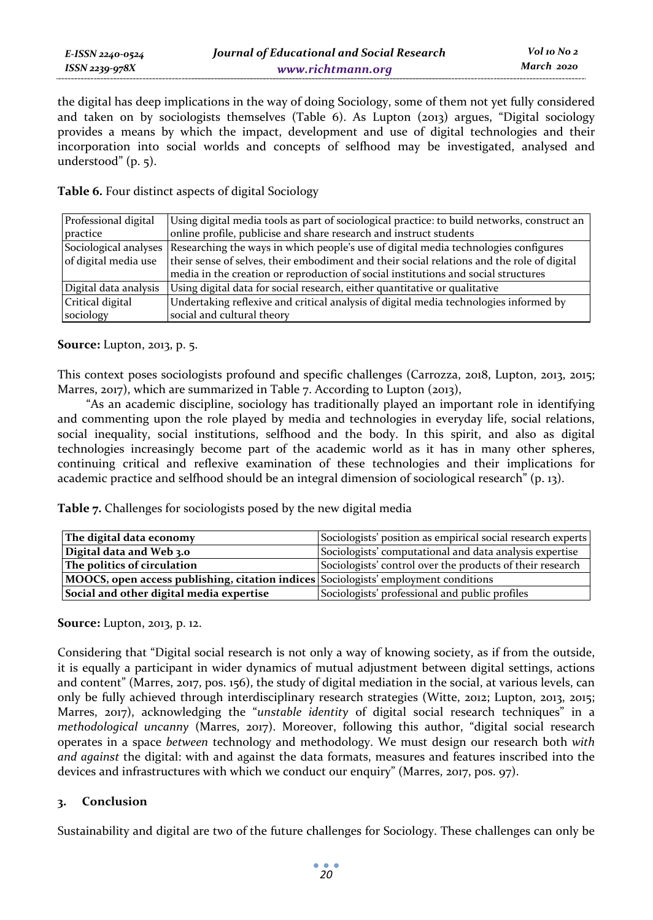the digital has deep implications in the way of doing Sociology, some of them not yet fully considered and taken on by sociologists themselves (Table 6). As Lupton (2013) argues, "Digital sociology provides a means by which the impact, development and use of digital technologies and their incorporation into social worlds and concepts of selfhood may be investigated, analysed and understood" (p. 5).

**Table 6.** Four distinct aspects of digital Sociology

| Professional digital                          | Using digital media tools as part of sociological practice: to build networks, construct an                                                                                                                                                                             |  |
|-----------------------------------------------|-------------------------------------------------------------------------------------------------------------------------------------------------------------------------------------------------------------------------------------------------------------------------|--|
| practice                                      | online profile, publicise and share research and instruct students                                                                                                                                                                                                      |  |
| Sociological analyses<br>of digital media use | Researching the ways in which people's use of digital media technologies configures<br>their sense of selves, their embodiment and their social relations and the role of digital<br>media in the creation or reproduction of social institutions and social structures |  |
| Digital data analysis                         | Using digital data for social research, either quantitative or qualitative                                                                                                                                                                                              |  |
| Critical digital                              | Undertaking reflexive and critical analysis of digital media technologies informed by                                                                                                                                                                                   |  |
| sociology                                     | social and cultural theory                                                                                                                                                                                                                                              |  |

**Source:** Lupton, 2013, p. 5.

This context poses sociologists profound and specific challenges (Carrozza, 2018, Lupton, 2013, 2015; Marres, 2017), which are summarized in Table 7. According to Lupton (2013),

"As an academic discipline, sociology has traditionally played an important role in identifying and commenting upon the role played by media and technologies in everyday life, social relations, social inequality, social institutions, selfhood and the body. In this spirit, and also as digital technologies increasingly become part of the academic world as it has in many other spheres, continuing critical and reflexive examination of these technologies and their implications for academic practice and selfhood should be an integral dimension of sociological research" (p. 13).

**Table 7.** Challenges for sociologists posed by the new digital media

| The digital data economy                                                            | Sociologists' position as empirical social research experts |
|-------------------------------------------------------------------------------------|-------------------------------------------------------------|
| Digital data and Web 3.0                                                            | Sociologists' computational and data analysis expertise     |
| The politics of circulation                                                         | Sociologists' control over the products of their research   |
| MOOCS, open access publishing, citation indices Sociologists' employment conditions |                                                             |
| Social and other digital media expertise                                            | Sociologists' professional and public profiles              |

**Source:** Lupton, 2013, p. 12.

Considering that "Digital social research is not only a way of knowing society, as if from the outside, it is equally a participant in wider dynamics of mutual adjustment between digital settings, actions and content" (Marres, 2017, pos. 156), the study of digital mediation in the social, at various levels, can only be fully achieved through interdisciplinary research strategies (Witte, 2012; Lupton, 2013, 2015; Marres, 2017), acknowledging the "*unstable identity* of digital social research techniques" in a *methodological uncanny* (Marres, 2017). Moreover, following this author, "digital social research operates in a space *between* technology and methodology. We must design our research both *with and against* the digital: with and against the data formats, measures and features inscribed into the devices and infrastructures with which we conduct our enquiry" (Marres, 2017, pos. 97).

### **3. Conclusion**

Sustainability and digital are two of the future challenges for Sociology. These challenges can only be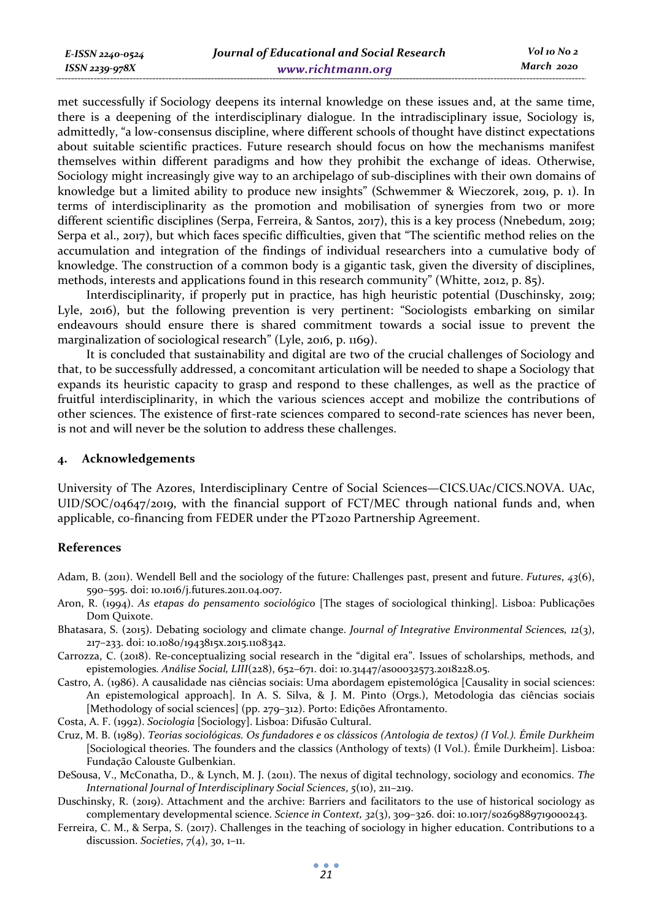met successfully if Sociology deepens its internal knowledge on these issues and, at the same time, there is a deepening of the interdisciplinary dialogue. In the intradisciplinary issue, Sociology is, admittedly, "a low-consensus discipline, where different schools of thought have distinct expectations about suitable scientific practices. Future research should focus on how the mechanisms manifest themselves within different paradigms and how they prohibit the exchange of ideas. Otherwise, Sociology might increasingly give way to an archipelago of sub-disciplines with their own domains of knowledge but a limited ability to produce new insights" (Schwemmer & Wieczorek, 2019, p. 1). In terms of interdisciplinarity as the promotion and mobilisation of synergies from two or more different scientific disciplines (Serpa, Ferreira, & Santos, 2017), this is a key process (Nnebedum, 2019; Serpa et al., 2017), but which faces specific difficulties, given that "The scientific method relies on the accumulation and integration of the findings of individual researchers into a cumulative body of knowledge. The construction of a common body is a gigantic task, given the diversity of disciplines, methods, interests and applications found in this research community" (Whitte, 2012, p. 85).

Interdisciplinarity, if properly put in practice, has high heuristic potential (Duschinsky, 2019; Lyle, 2016), but the following prevention is very pertinent: "Sociologists embarking on similar endeavours should ensure there is shared commitment towards a social issue to prevent the marginalization of sociological research" (Lyle, 2016, p. 1169).

It is concluded that sustainability and digital are two of the crucial challenges of Sociology and that, to be successfully addressed, a concomitant articulation will be needed to shape a Sociology that expands its heuristic capacity to grasp and respond to these challenges, as well as the practice of fruitful interdisciplinarity, in which the various sciences accept and mobilize the contributions of other sciences. The existence of first-rate sciences compared to second-rate sciences has never been, is not and will never be the solution to address these challenges.

#### **4. Acknowledgements**

*E-ISSN 2240-0524 ISSN 2239-978X*

University of The Azores, Interdisciplinary Centre of Social Sciences—CICS.UAc/CICS.NOVA. UAc,  $UID/SOC/04647/2019$ , with the financial support of  $ECT/MEC$  through national funds and, when applicable, co-financing from FEDER under the PT2020 Partnership Agreement.

#### **References**

- Adam, B. (2011). Wendell Bell and the sociology of the future: Challenges past, present and future. *Futures*, *43*(6), 590–595. doi: 10.1016/j.futures.2011.04.007.
- Aron, R. (1994). *As etapas do pensamento sociológico* [The stages of sociological thinking]. Lisboa: Publicações Dom Quixote.
- Bhatasara, S. (2015). Debating sociology and climate change. *Journal of Integrative Environmental Sciences, 12*(3), 217–233. doi: 10.1080/1943815x.2015.1108342.
- Carrozza, C. (2018). Re-conceptualizing social research in the "digital era". Issues of scholarships, methods, and epistemologies*. Análise Social, LIII*(228), 652–671. doi: 10.31447/as00032573.2018228.05.
- Castro, A. (1986). A causalidade nas ciências sociais: Uma abordagem epistemológica [Causality in social sciences: An epistemological approach]. In A. S. Silva, & J. M. Pinto (Orgs.), Metodologia das ciências sociais [Methodology of social sciences] (pp. 279–312). Porto: Edições Afrontamento.
- Costa, A. F. (1992). *Sociologia* [Sociology]. Lisboa: Difusão Cultural.
- Cruz, M. B. (1989). *Teorias sociológicas. Os fundadores e os clássicos (Antologia de textos) (I Vol.). Émile Durkheim* [Sociological theories. The founders and the classics (Anthology of texts) (I Vol.). Émile Durkheim]. Lisboa: Fundação Calouste Gulbenkian.
- DeSousa, V., McConatha, D., & Lynch, M. J. (2011). The nexus of digital technology, sociology and economics. *The International Journal of Interdisciplinary Social Sciences*, *5*(10), 211–219.
- Duschinsky, R. (2019). Attachment and the archive: Barriers and facilitators to the use of historical sociology as complementary developmental science. *Science in Context, 32*(3), 309–326. doi: 10.1017/s0269889719000243.
- Ferreira, C. M., & Serpa, S. (2017). Challenges in the teaching of sociology in higher education. Contributions to a discussion. *Societies*, *7*(4), 30, 1–11.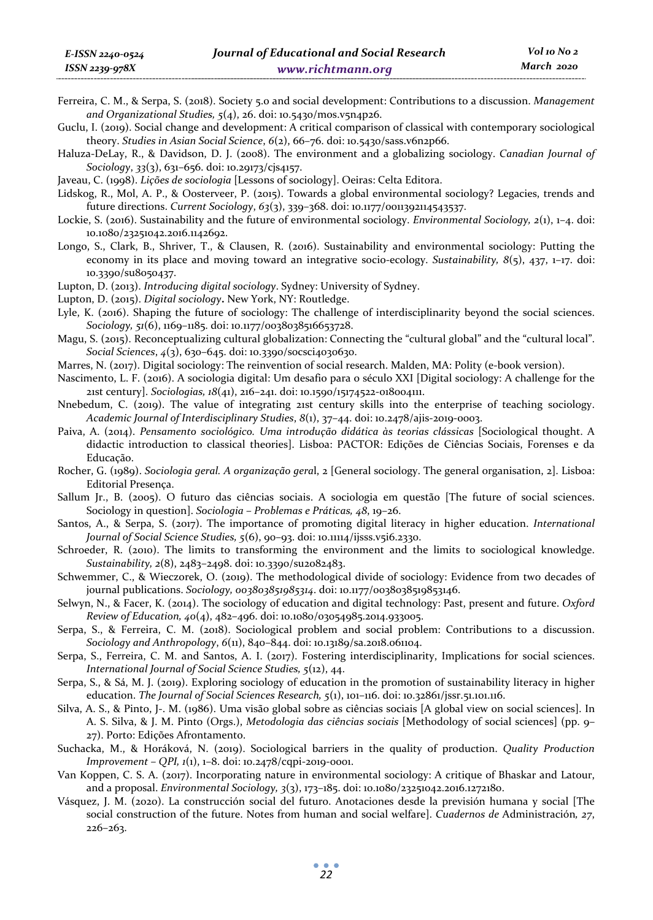- Ferreira, C. M., & Serpa, S. (2018). Society 5.0 and social development: Contributions to a discussion. *Management and Organizational Studies, 5*(4), 26. doi: 10.5430/mos.v5n4p26.
- Guclu, I. (2019). Social change and development: A critical comparison of classical with contemporary sociological theory. *Studies in Asian Social Science*, *6*(2), 66–76. doi: 10.5430/sass.v6n2p66.
- Haluza-DeLay, R., & Davidson, D. J. (2008). The environment and a globalizing sociology. *Canadian Journal of Sociology*, *33*(3), 631–656. doi: 10.29173/cjs4157.
- Javeau, C. (1998). *Lições de sociologia* [Lessons of sociology]. Oeiras: Celta Editora.
- Lidskog, R., Mol, A. P., & Oosterveer, P. (2015). Towards a global environmental sociology? Legacies, trends and future directions. *Current Sociology*, *63*(3), 339–368. doi: 10.1177/0011392114543537.
- Lockie, S. (2016). Sustainability and the future of environmental sociology. *Environmental Sociology, 2*(1), 1–4. doi: 10.1080/23251042.2016.1142692.
- Longo, S., Clark, B., Shriver, T., & Clausen, R. (2016). Sustainability and environmental sociology: Putting the economy in its place and moving toward an integrative socio-ecology. *Sustainability, 8*(5), 437, 1–17. doi: 10.3390/su8050437.
- Lupton, D. (2013). *Introducing digital sociology*. Sydney: University of Sydney.
- Lupton, D. (2015). *Digital sociology***.** New York, NY: Routledge.
- Lyle, K. (2016). Shaping the future of sociology: The challenge of interdisciplinarity beyond the social sciences. *Sociology, 51*(6), 1169–1185. doi: 10.1177/0038038516653728.
- Magu, S. (2015). Reconceptualizing cultural globalization: Connecting the "cultural global" and the "cultural local". *Social Sciences*, *4*(3), 630–645. doi: 10.3390/socsci4030630.
- Marres, N. (2017). Digital sociology: The reinvention of social research. Malden, MA: Polity (e-book version).
- Nascimento, L. F. (2016). A sociologia digital: Um desafio para o século XXI [Digital sociology: A challenge for the 21st century]. *Sociologias, 18*(41), 216–241. doi: 10.1590/15174522-018004111.
- Nnebedum, C. (2019). The value of integrating 21st century skills into the enterprise of teaching sociology. *Academic Journal of Interdisciplinary Studies*, *8*(1), 37–44. doi: 10.2478/ajis-2019-0003.
- Paiva, A. (2014). *Pensamento sociológico. Uma introdução didática às teorias clássicas* [Sociological thought. A didactic introduction to classical theories]. Lisboa: PACTOR: Edições de Ciências Sociais, Forenses e da Educação.
- Rocher, G. (1989). *Sociologia geral. A organização gera*l, 2 [General sociology. The general organisation, 2]. Lisboa: Editorial Presença.
- Sallum Jr., B. (2005). O futuro das ciências sociais. A sociologia em questão [The future of social sciences. Sociology in question]. *Sociologia – Problemas e Práticas, 48*, 19–26.
- Santos, A., & Serpa, S. (2017). The importance of promoting digital literacy in higher education. *International Journal of Social Science Studies, 5*(6), 90–93. doi: 10.11114/ijsss.v5i6.2330.
- Schroeder, R. (2010). The limits to transforming the environment and the limits to sociological knowledge. *Sustainability, 2*(8), 2483–2498. doi: 10.3390/su2082483.
- Schwemmer, C., & Wieczorek, O. (2019). The methodological divide of sociology: Evidence from two decades of journal publications. *Sociology, 003803851985314*. doi: 10.1177/0038038519853146.
- Selwyn, N., & Facer, K. (2014). The sociology of education and digital technology: Past, present and future. *Oxford Review of Education, 40*(4), 482–496. doi: 10.1080/03054985.2014.933005.
- Serpa, S., & Ferreira, C. M. (2018). Sociological problem and social problem: Contributions to a discussion. *Sociology and Anthropology*, *6*(11), 840–844. doi: 10.13189/sa.2018.061104.
- Serpa, S., Ferreira, C. M. and Santos, A. I. (2017). Fostering interdisciplinarity, Implications for social sciences. *International Journal of Social Science Studies, 5*(12), 44.
- Serpa, S., & Sá, M. J. (2019). Exploring sociology of education in the promotion of sustainability literacy in higher education. *The Journal of Social Sciences Research, 5*(1), 101–116. doi: 10.32861/jssr.51.101.116.
- Silva, A. S., & Pinto, J-. M. (1986). Uma visão global sobre as ciências sociais [A global view on social sciences]. In A. S. Silva, & J. M. Pinto (Orgs.), *Metodologia das ciências sociais* [Methodology of social sciences] (pp. 9– 27). Porto: Edições Afrontamento.
- Suchacka, M., & Horáková, N. (2019). Sociological barriers in the quality of production. *Quality Production Improvement – QPI, 1*(1), 1–8. doi: 10.2478/cqpi-2019-0001.
- Van Koppen, C. S. A. (2017). Incorporating nature in environmental sociology: A critique of Bhaskar and Latour, and a proposal. *Environmental Sociology, 3*(3), 173–185. doi: 10.1080/23251042.2016.1272180.
- Vásquez, J. M. (2020). La construcción social del futuro. Anotaciones desde la previsión humana y social [The social construction of the future. Notes from human and social welfare]. *Cuadernos de* Administración*, 27*, 226–263.